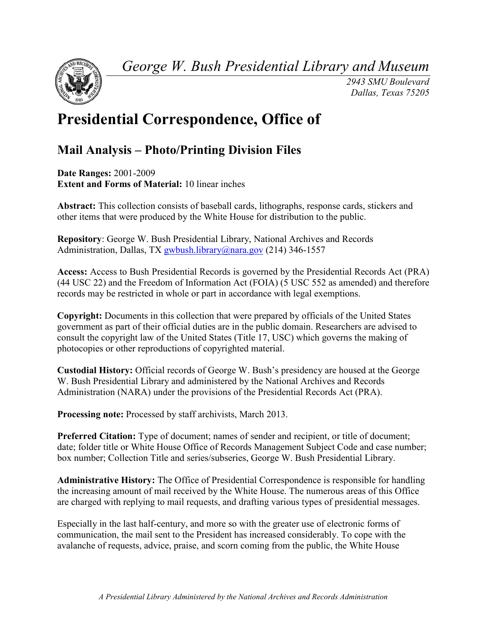*George W. Bush Presidential Library and Museum* 



 *2943 SMU Boulevard Dallas, Texas 75205* 

# **Presidential Correspondence, Office of**

# **Mail Analysis – Photo/Printing Division Files**

**Date Ranges:** 2001-2009 **Extent and Forms of Material:** 10 linear inches

**Abstract:** This collection consists of baseball cards, lithographs, response cards, stickers and other items that were produced by the White House for distribution to the public.

 **Repository**: George W. Bush Presidential Library, National Archives and Records Administration, Dallas, TX [gwbush.library@nara.gov](mailto:gwbush.library@nara.gov) (214) 346-1557

 **Access:** Access to Bush Presidential Records is governed by the Presidential Records Act (PRA) (44 USC 22) and the Freedom of Information Act (FOIA) (5 USC 552 as amended) and therefore records may be restricted in whole or part in accordance with legal exemptions.

**Copyright:** Documents in this collection that were prepared by officials of the United States government as part of their official duties are in the public domain. Researchers are advised to consult the copyright law of the United States (Title 17, USC) which governs the making of photocopies or other reproductions of copyrighted material.

**Custodial History:** Official records of George W. Bush's presidency are housed at the George W. Bush Presidential Library and administered by the National Archives and Records Administration (NARA) under the provisions of the Presidential Records Act (PRA).

**Processing note:** Processed by staff archivists, March 2013.

 box number; Collection Title and series/subseries, George W. Bush Presidential Library. **Preferred Citation:** Type of document; names of sender and recipient, or title of document; date; folder title or White House Office of Records Management Subject Code and case number;

**Administrative History:** The Office of Presidential Correspondence is responsible for handling the increasing amount of mail received by the White House. The numerous areas of this Office are charged with replying to mail requests, and drafting various types of presidential messages.

Especially in the last half-century, and more so with the greater use of electronic forms of communication, the mail sent to the President has increased considerably. To cope with the avalanche of requests, advice, praise, and scorn coming from the public, the White House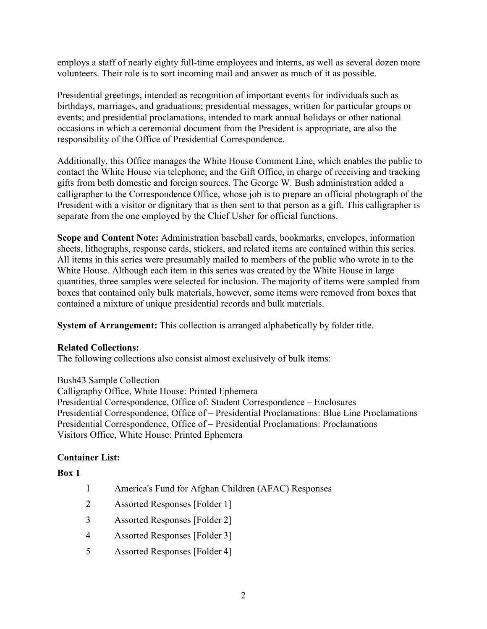employs a staff of nearly eighty full-time employees and interns, as well as several dozen more volunteers. Their role is to sort incoming mail and answer as much of it as possible.

Presidential greetings, intended as recognition of important events for individuals such as birthdays, marriages, and graduations; presidential messages, written for particular groups or events; and presidential proclamations, intended to mark annual holidays or other national occasions in which a ceremonial document from the President is appropriate, are also the responsibility of the Office of Presidential Correspondence.

Additionally, this Office manages the White House Comment Line, which enables the public to contact the White House via telephone; and the Gift Office, in charge of receiving and tracking gifts from both domestic and foreign sources. The George W. Bush administration added a calligrapher to the Correspondence Office, whose job is to prepare an official photograph of the President with a visitor or dignitary that is then sent to that person as a gift. This calligrapher is separate from the one employed by the Chief Usher for official functions.

**Scope and Content Note:** Administration baseball cards, bookmarks, envelopes, information sheets, lithographs, response cards, stickers, and related items are contained within this series. All items in this series were presumably mailed to members of the public who wrote in to the White House. Although each item in this series was created by the White House in large quantities, three samples were selected for inclusion. The majority of items were sampled from boxes that contained only bulk materials, however, some items were removed from boxes that contained a mixture of unique presidential records and bulk materials.

**System of Arrangement:** This collection is arranged alphabetically by folder title.

## **Related Collections:**

The following collections also consist almost exclusively of bulk items:

Bush43 Sample Collection Calligraphy Office, White House: Printed Ephemera Presidential Correspondence, Office of: Student Correspondence – Enclosures Presidential Correspondence, Office of – Presidential Proclamations: Blue Line Proclamations Presidential Correspondence, Office of – Presidential Proclamations: Proclamations Visitors Office, White House: Printed Ephemera

# **Container List:**

## **Box 1**

- 1 America's Fund for Afghan Children (AFAC) Responses
- 2 Assorted Responses [Folder 1]
- 3 Assorted Responses [Folder 2]
- 4 Assorted Responses [Folder 3]
- 5 Assorted Responses [Folder 4]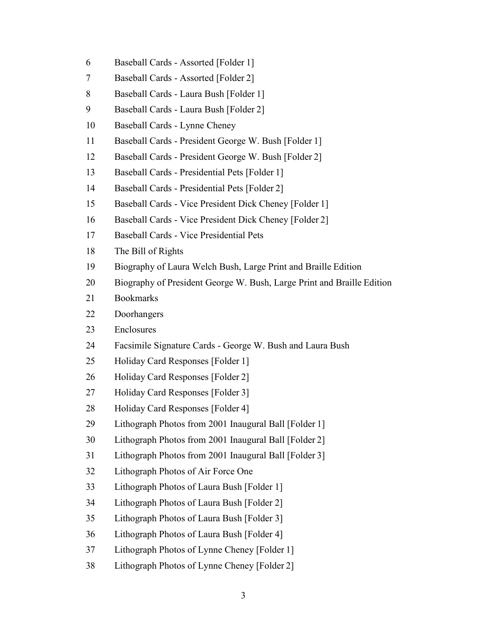- Baseball Cards Assorted [Folder 1]
- Baseball Cards Assorted [Folder 2]
- Baseball Cards Laura Bush [Folder 1]
- Baseball Cards Laura Bush [Folder 2]
- Baseball Cards Lynne Cheney
- Baseball Cards President George W. Bush [Folder 1]
- Baseball Cards President George W. Bush [Folder 2]
- Baseball Cards Presidential Pets [Folder 1]
- Baseball Cards Presidential Pets [Folder 2]
- Baseball Cards Vice President Dick Cheney [Folder 1]
- Baseball Cards Vice President Dick Cheney [Folder 2]
- Baseball Cards Vice Presidential Pets
- The Bill of Rights
- Biography of Laura Welch Bush, Large Print and Braille Edition
- Biography of President George W. Bush, Large Print and Braille Edition
- Bookmarks
- Doorhangers
- Enclosures
- Facsimile Signature Cards George W. Bush and Laura Bush
- Holiday Card Responses [Folder 1]
- Holiday Card Responses [Folder 2]
- Holiday Card Responses [Folder 3]
- Holiday Card Responses [Folder 4]
- Lithograph Photos from 2001 Inaugural Ball [Folder 1]
- Lithograph Photos from 2001 Inaugural Ball [Folder 2]
- Lithograph Photos from 2001 Inaugural Ball [Folder 3]
- Lithograph Photos of Air Force One
- Lithograph Photos of Laura Bush [Folder 1]
- Lithograph Photos of Laura Bush [Folder 2]
- Lithograph Photos of Laura Bush [Folder 3]
- Lithograph Photos of Laura Bush [Folder 4]
- Lithograph Photos of Lynne Cheney [Folder 1]
- Lithograph Photos of Lynne Cheney [Folder 2]